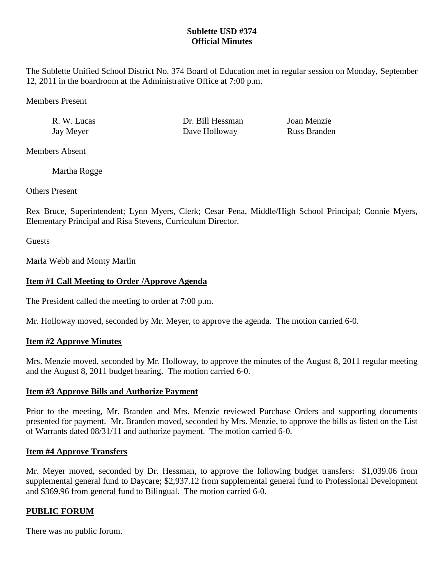## **Sublette USD #374 Official Minutes**

The Sublette Unified School District No. 374 Board of Education met in regular session on Monday, September 12, 2011 in the boardroom at the Administrative Office at 7:00 p.m.

Members Present

R. W. Lucas Dr. Bill Hessman Joan Menzie Jay Meyer Dave Holloway Russ Branden

Members Absent

Martha Rogge

Others Present

Rex Bruce, Superintendent; Lynn Myers, Clerk; Cesar Pena, Middle/High School Principal; Connie Myers, Elementary Principal and Risa Stevens, Curriculum Director.

**Guests** 

Marla Webb and Monty Marlin

# **Item #1 Call Meeting to Order /Approve Agenda**

The President called the meeting to order at 7:00 p.m.

Mr. Holloway moved, seconded by Mr. Meyer, to approve the agenda. The motion carried 6-0.

## **Item #2 Approve Minutes**

Mrs. Menzie moved, seconded by Mr. Holloway, to approve the minutes of the August 8, 2011 regular meeting and the August 8, 2011 budget hearing. The motion carried 6-0.

## **Item #3 Approve Bills and Authorize Payment**

Prior to the meeting, Mr. Branden and Mrs. Menzie reviewed Purchase Orders and supporting documents presented for payment. Mr. Branden moved, seconded by Mrs. Menzie, to approve the bills as listed on the List of Warrants dated 08/31/11 and authorize payment. The motion carried 6-0.

## **Item #4 Approve Transfers**

Mr. Meyer moved, seconded by Dr. Hessman, to approve the following budget transfers: \$1,039.06 from supplemental general fund to Daycare; \$2,937.12 from supplemental general fund to Professional Development and \$369.96 from general fund to Bilingual. The motion carried 6-0.

## **PUBLIC FORUM**

There was no public forum.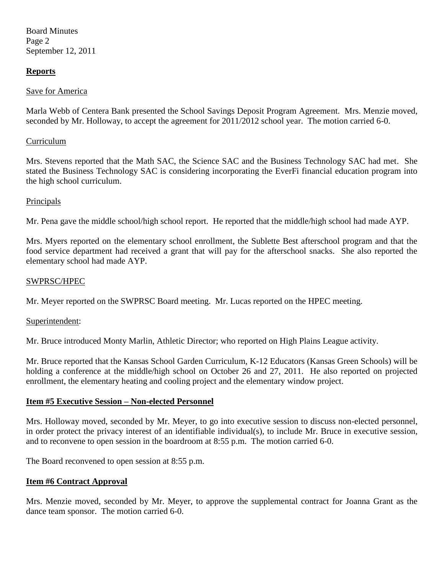Board Minutes Page 2 September 12, 2011

### **Reports**

### Save for America

Marla Webb of Centera Bank presented the School Savings Deposit Program Agreement. Mrs. Menzie moved, seconded by Mr. Holloway, to accept the agreement for 2011/2012 school year. The motion carried 6-0.

### Curriculum

Mrs. Stevens reported that the Math SAC, the Science SAC and the Business Technology SAC had met. She stated the Business Technology SAC is considering incorporating the EverFi financial education program into the high school curriculum.

#### Principals

Mr. Pena gave the middle school/high school report. He reported that the middle/high school had made AYP.

Mrs. Myers reported on the elementary school enrollment, the Sublette Best afterschool program and that the food service department had received a grant that will pay for the afterschool snacks. She also reported the elementary school had made AYP.

#### SWPRSC/HPEC

Mr. Meyer reported on the SWPRSC Board meeting. Mr. Lucas reported on the HPEC meeting.

### Superintendent:

Mr. Bruce introduced Monty Marlin, Athletic Director; who reported on High Plains League activity.

Mr. Bruce reported that the Kansas School Garden Curriculum, K-12 Educators (Kansas Green Schools) will be holding a conference at the middle/high school on October 26 and 27, 2011. He also reported on projected enrollment, the elementary heating and cooling project and the elementary window project.

#### **Item #5 Executive Session – Non-elected Personnel**

Mrs. Holloway moved, seconded by Mr. Meyer, to go into executive session to discuss non-elected personnel, in order protect the privacy interest of an identifiable individual(s), to include Mr. Bruce in executive session, and to reconvene to open session in the boardroom at 8:55 p.m. The motion carried 6-0.

The Board reconvened to open session at 8:55 p.m.

### **Item #6 Contract Approval**

Mrs. Menzie moved, seconded by Mr. Meyer, to approve the supplemental contract for Joanna Grant as the dance team sponsor. The motion carried 6-0.